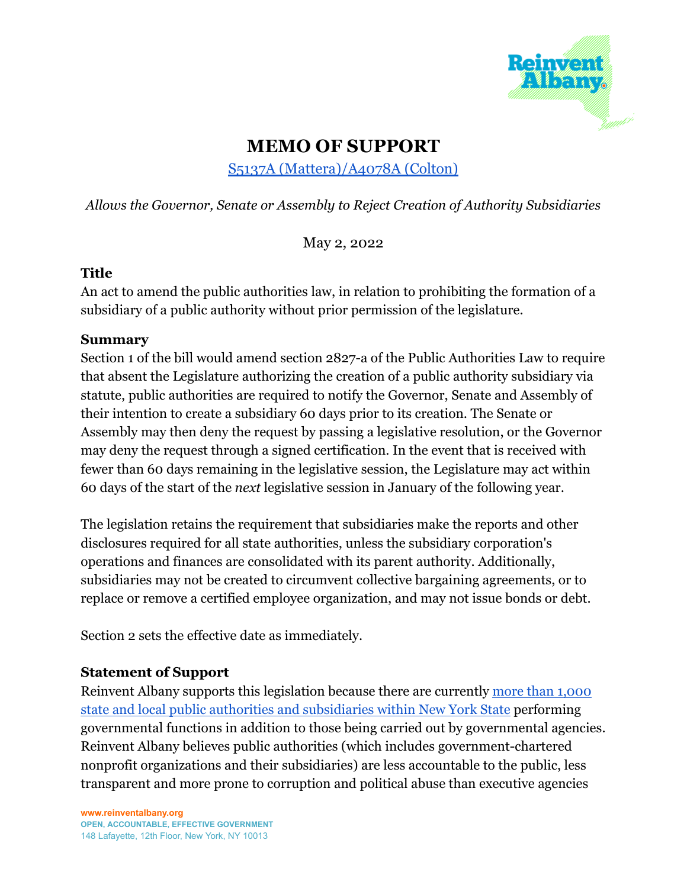

## **MEMO OF SUPPORT**

S5137A [\(Mattera\)/A4078A](https://www.nysenate.gov/legislation/bills/2021/A4078) (Colton)

*Allows the Governor, Senate or Assembly to Reject Creation of Authority Subsidiaries*

May 2, 2022

## **Title**

An act to amend the public authorities law, in relation to prohibiting the formation of a subsidiary of a public authority without prior permission of the legislature.

## **Summary**

Section 1 of the bill would amend section 2827-a of the Public Authorities Law to require that absent the Legislature authorizing the creation of a public authority subsidiary via statute, public authorities are required to notify the Governor, Senate and Assembly of their intention to create a subsidiary 60 days prior to its creation. The Senate or Assembly may then deny the request by passing a legislative resolution, or the Governor may deny the request through a signed certification. In the event that is received with fewer than 60 days remaining in the legislative session, the Legislature may act within 60 days of the start of the *next* legislative session in January of the following year.

The legislation retains the requirement that subsidiaries make the reports and other disclosures required for all state authorities, unless the subsidiary corporation's operations and finances are consolidated with its parent authority. Additionally, subsidiaries may not be created to circumvent collective bargaining agreements, or to replace or remove a certified employee organization, and may not issue bonds or debt.

Section 2 sets the effective date as immediately.

## **Statement of Support**

Reinvent Albany supports this legislation because there are currently [more than 1,000](https://www.osc.state.ny.us/files/reports/special-topics/pdf/pub-auth-num-2017.pdf) [state and local public authorities and subsidiaries within New York State](https://www.osc.state.ny.us/files/reports/special-topics/pdf/pub-auth-num-2017.pdf) performing governmental functions in addition to those being carried out by governmental agencies. Reinvent Albany believes public authorities (which includes government-chartered nonprofit organizations and their subsidiaries) are less accountable to the public, less transparent and more prone to corruption and political abuse than executive agencies